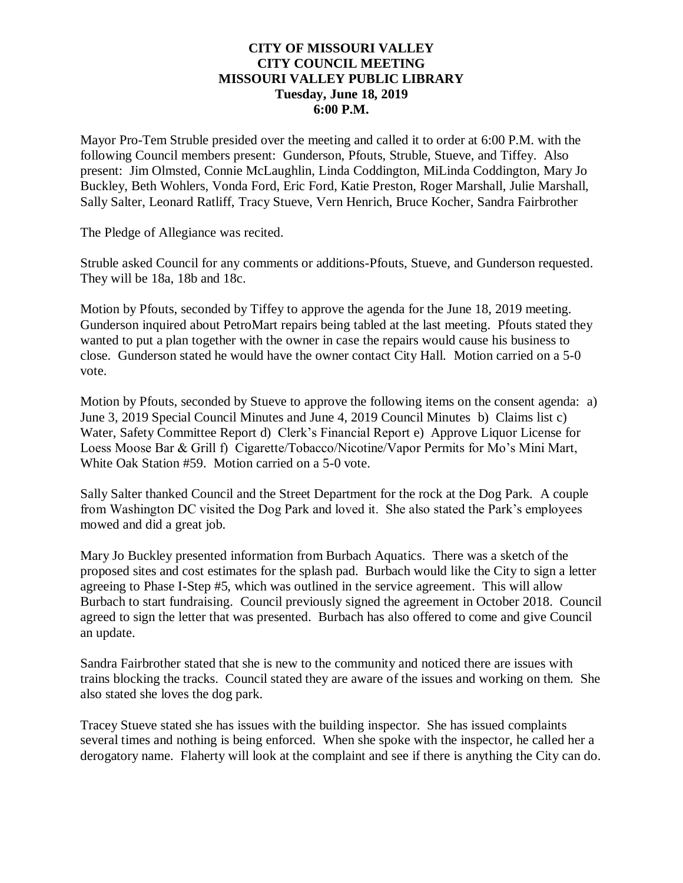### **CITY OF MISSOURI VALLEY CITY COUNCIL MEETING MISSOURI VALLEY PUBLIC LIBRARY Tuesday, June 18, 2019 6:00 P.M.**

Mayor Pro-Tem Struble presided over the meeting and called it to order at 6:00 P.M. with the following Council members present: Gunderson, Pfouts, Struble, Stueve, and Tiffey. Also present: Jim Olmsted, Connie McLaughlin, Linda Coddington, MiLinda Coddington, Mary Jo Buckley, Beth Wohlers, Vonda Ford, Eric Ford, Katie Preston, Roger Marshall, Julie Marshall, Sally Salter, Leonard Ratliff, Tracy Stueve, Vern Henrich, Bruce Kocher, Sandra Fairbrother

The Pledge of Allegiance was recited.

Struble asked Council for any comments or additions-Pfouts, Stueve, and Gunderson requested. They will be 18a, 18b and 18c.

Motion by Pfouts, seconded by Tiffey to approve the agenda for the June 18, 2019 meeting. Gunderson inquired about PetroMart repairs being tabled at the last meeting. Pfouts stated they wanted to put a plan together with the owner in case the repairs would cause his business to close. Gunderson stated he would have the owner contact City Hall. Motion carried on a 5-0 vote.

Motion by Pfouts, seconded by Stueve to approve the following items on the consent agenda: a) June 3, 2019 Special Council Minutes and June 4, 2019 Council Minutes b) Claims list c) Water, Safety Committee Report d) Clerk's Financial Report e) Approve Liquor License for Loess Moose Bar & Grill f) Cigarette/Tobacco/Nicotine/Vapor Permits for Mo's Mini Mart, White Oak Station #59. Motion carried on a 5-0 vote.

Sally Salter thanked Council and the Street Department for the rock at the Dog Park. A couple from Washington DC visited the Dog Park and loved it. She also stated the Park's employees mowed and did a great job.

Mary Jo Buckley presented information from Burbach Aquatics. There was a sketch of the proposed sites and cost estimates for the splash pad. Burbach would like the City to sign a letter agreeing to Phase I-Step #5, which was outlined in the service agreement. This will allow Burbach to start fundraising. Council previously signed the agreement in October 2018. Council agreed to sign the letter that was presented. Burbach has also offered to come and give Council an update.

Sandra Fairbrother stated that she is new to the community and noticed there are issues with trains blocking the tracks. Council stated they are aware of the issues and working on them. She also stated she loves the dog park.

Tracey Stueve stated she has issues with the building inspector. She has issued complaints several times and nothing is being enforced. When she spoke with the inspector, he called her a derogatory name. Flaherty will look at the complaint and see if there is anything the City can do.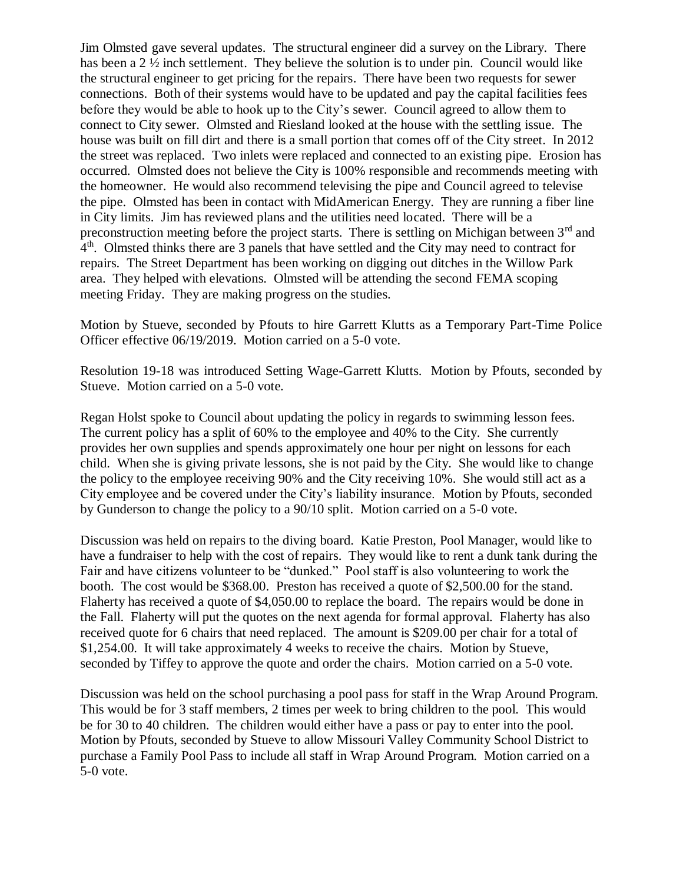Jim Olmsted gave several updates. The structural engineer did a survey on the Library. There has been a 2  $\frac{1}{2}$  inch settlement. They believe the solution is to under pin. Council would like the structural engineer to get pricing for the repairs. There have been two requests for sewer connections. Both of their systems would have to be updated and pay the capital facilities fees before they would be able to hook up to the City's sewer. Council agreed to allow them to connect to City sewer. Olmsted and Riesland looked at the house with the settling issue. The house was built on fill dirt and there is a small portion that comes off of the City street. In 2012 the street was replaced. Two inlets were replaced and connected to an existing pipe. Erosion has occurred. Olmsted does not believe the City is 100% responsible and recommends meeting with the homeowner. He would also recommend televising the pipe and Council agreed to televise the pipe. Olmsted has been in contact with MidAmerican Energy. They are running a fiber line in City limits. Jim has reviewed plans and the utilities need located. There will be a preconstruction meeting before the project starts. There is settling on Michigan between 3<sup>rd</sup> and 4<sup>th</sup>. Olmsted thinks there are 3 panels that have settled and the City may need to contract for repairs. The Street Department has been working on digging out ditches in the Willow Park area. They helped with elevations. Olmsted will be attending the second FEMA scoping meeting Friday. They are making progress on the studies.

Motion by Stueve, seconded by Pfouts to hire Garrett Klutts as a Temporary Part-Time Police Officer effective 06/19/2019. Motion carried on a 5-0 vote.

Resolution 19-18 was introduced Setting Wage-Garrett Klutts. Motion by Pfouts, seconded by Stueve. Motion carried on a 5-0 vote.

Regan Holst spoke to Council about updating the policy in regards to swimming lesson fees. The current policy has a split of 60% to the employee and 40% to the City. She currently provides her own supplies and spends approximately one hour per night on lessons for each child. When she is giving private lessons, she is not paid by the City. She would like to change the policy to the employee receiving 90% and the City receiving 10%. She would still act as a City employee and be covered under the City's liability insurance. Motion by Pfouts, seconded by Gunderson to change the policy to a 90/10 split. Motion carried on a 5-0 vote.

Discussion was held on repairs to the diving board. Katie Preston, Pool Manager, would like to have a fundraiser to help with the cost of repairs. They would like to rent a dunk tank during the Fair and have citizens volunteer to be "dunked." Pool staff is also volunteering to work the booth. The cost would be \$368.00. Preston has received a quote of \$2,500.00 for the stand. Flaherty has received a quote of \$4,050.00 to replace the board. The repairs would be done in the Fall. Flaherty will put the quotes on the next agenda for formal approval. Flaherty has also received quote for 6 chairs that need replaced. The amount is \$209.00 per chair for a total of \$1,254.00. It will take approximately 4 weeks to receive the chairs. Motion by Stueve, seconded by Tiffey to approve the quote and order the chairs. Motion carried on a 5-0 vote.

Discussion was held on the school purchasing a pool pass for staff in the Wrap Around Program. This would be for 3 staff members, 2 times per week to bring children to the pool. This would be for 30 to 40 children. The children would either have a pass or pay to enter into the pool. Motion by Pfouts, seconded by Stueve to allow Missouri Valley Community School District to purchase a Family Pool Pass to include all staff in Wrap Around Program. Motion carried on a 5-0 vote.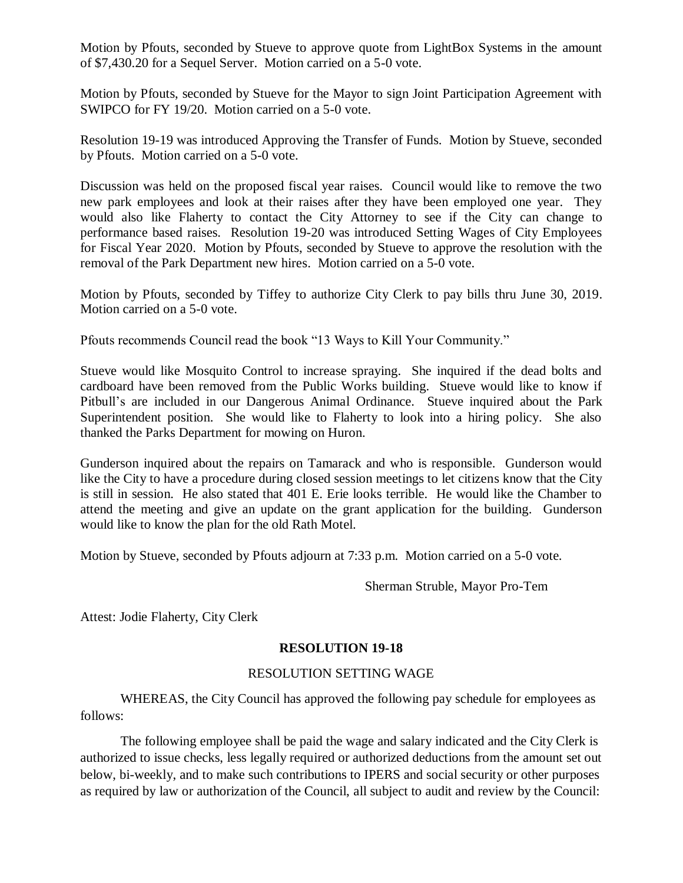Motion by Pfouts, seconded by Stueve to approve quote from LightBox Systems in the amount of \$7,430.20 for a Sequel Server. Motion carried on a 5-0 vote.

Motion by Pfouts, seconded by Stueve for the Mayor to sign Joint Participation Agreement with SWIPCO for FY 19/20. Motion carried on a 5-0 vote.

Resolution 19-19 was introduced Approving the Transfer of Funds. Motion by Stueve, seconded by Pfouts. Motion carried on a 5-0 vote.

Discussion was held on the proposed fiscal year raises. Council would like to remove the two new park employees and look at their raises after they have been employed one year. They would also like Flaherty to contact the City Attorney to see if the City can change to performance based raises. Resolution 19-20 was introduced Setting Wages of City Employees for Fiscal Year 2020. Motion by Pfouts, seconded by Stueve to approve the resolution with the removal of the Park Department new hires. Motion carried on a 5-0 vote.

Motion by Pfouts, seconded by Tiffey to authorize City Clerk to pay bills thru June 30, 2019. Motion carried on a 5-0 vote.

Pfouts recommends Council read the book "13 Ways to Kill Your Community."

Stueve would like Mosquito Control to increase spraying. She inquired if the dead bolts and cardboard have been removed from the Public Works building. Stueve would like to know if Pitbull's are included in our Dangerous Animal Ordinance. Stueve inquired about the Park Superintendent position. She would like to Flaherty to look into a hiring policy. She also thanked the Parks Department for mowing on Huron.

Gunderson inquired about the repairs on Tamarack and who is responsible. Gunderson would like the City to have a procedure during closed session meetings to let citizens know that the City is still in session. He also stated that 401 E. Erie looks terrible. He would like the Chamber to attend the meeting and give an update on the grant application for the building. Gunderson would like to know the plan for the old Rath Motel.

Motion by Stueve, seconded by Pfouts adjourn at 7:33 p.m. Motion carried on a 5-0 vote.

Sherman Struble, Mayor Pro-Tem

Attest: Jodie Flaherty, City Clerk

## **RESOLUTION 19-18**

#### RESOLUTION SETTING WAGE

WHEREAS, the City Council has approved the following pay schedule for employees as follows:

The following employee shall be paid the wage and salary indicated and the City Clerk is authorized to issue checks, less legally required or authorized deductions from the amount set out below, bi-weekly, and to make such contributions to IPERS and social security or other purposes as required by law or authorization of the Council, all subject to audit and review by the Council: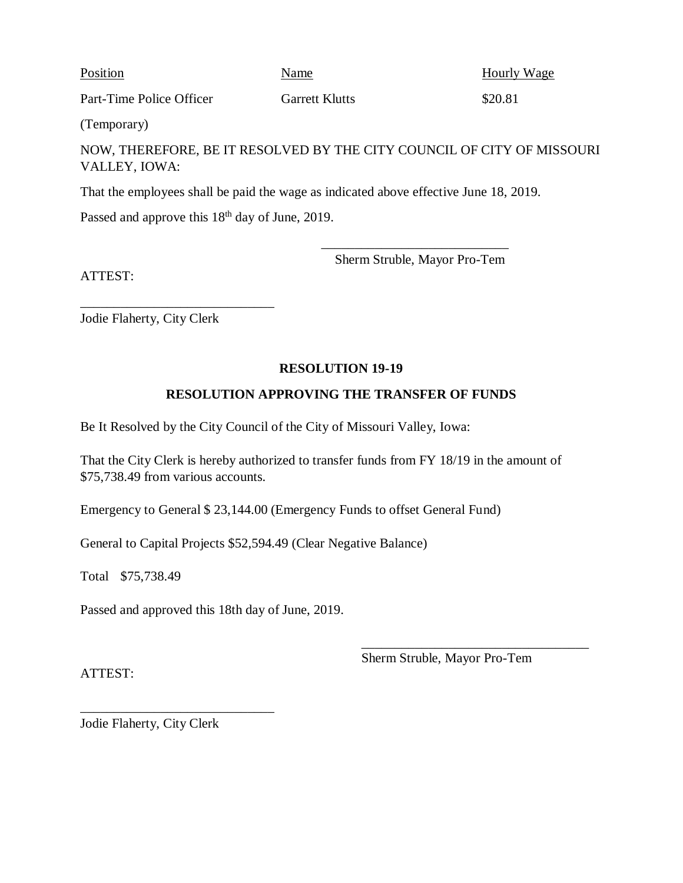Position Name Name Hourly Wage

Part-Time Police Officer Garrett Klutts \$20.81

(Temporary)

NOW, THEREFORE, BE IT RESOLVED BY THE CITY COUNCIL OF CITY OF MISSOURI VALLEY, IOWA:

That the employees shall be paid the wage as indicated above effective June 18, 2019.

Passed and approve this 18<sup>th</sup> day of June, 2019.

ATTEST:

Sherm Struble, Mayor Pro-Tem

\_\_\_\_\_\_\_\_\_\_\_\_\_\_\_\_\_\_\_\_\_\_\_\_\_\_\_\_

Jodie Flaherty, City Clerk

\_\_\_\_\_\_\_\_\_\_\_\_\_\_\_\_\_\_\_\_\_\_\_\_\_\_\_\_\_

# **RESOLUTION 19-19**

# **RESOLUTION APPROVING THE TRANSFER OF FUNDS**

Be It Resolved by the City Council of the City of Missouri Valley, Iowa:

That the City Clerk is hereby authorized to transfer funds from FY 18/19 in the amount of \$75,738.49 from various accounts.

Emergency to General \$ 23,144.00 (Emergency Funds to offset General Fund)

General to Capital Projects \$52,594.49 (Clear Negative Balance)

Total \$75,738.49

Passed and approved this 18th day of June, 2019.

Sherm Struble, Mayor Pro-Tem

\_\_\_\_\_\_\_\_\_\_\_\_\_\_\_\_\_\_\_\_\_\_\_\_\_\_\_\_\_\_\_\_\_\_

ATTEST:

Jodie Flaherty, City Clerk

\_\_\_\_\_\_\_\_\_\_\_\_\_\_\_\_\_\_\_\_\_\_\_\_\_\_\_\_\_